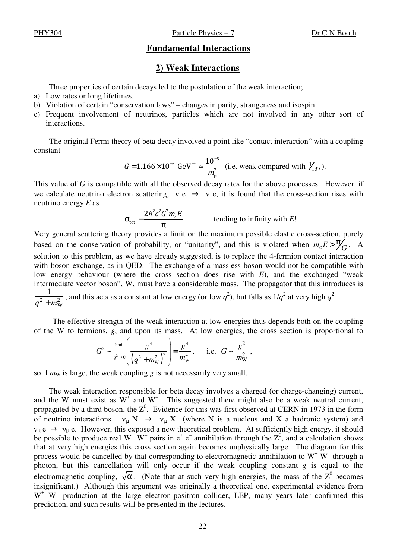PHY304 Particle Physics – 7 Dr C N Booth

## **Fundamental Interactions**

## **2) Weak Interactions**

Three properties of certain decays led to the postulation of the weak interaction;

- a) Low rates or long lifetimes.
- b) Violation of certain "conservation laws" changes in parity, strangeness and isospin.
- c) Frequent involvement of neutrinos, particles which are not involved in any other sort of interactions.

The original Fermi theory of beta decay involved a point like "contact interaction" with a coupling constant

$$
G = 1.166 \times 10^{-5} \text{ GeV}^{-2} \approx \frac{10^{-5}}{m_p^2}
$$
 (i.e. weak compared with  $\frac{1}{137}$ ).

This value of *G* is compatible with all the observed decay rates for the above processes. However, if we calculate neutrino electron scattering,  $v e \rightarrow v e$ , it is found that the cross-section rises with neutrino energy *E* as

$$
\sigma_{\text{tot}} = \frac{2\hbar^2 c^2 G^2 m_e E}{\pi}
$$
tending to infinity with E!

Very general scattering theory provides a limit on the maximum possible elastic cross-section, purely based on the conservation of probability, or "unitarity", and this is violated when  $m_e E > \frac{\pi}{2}$  $G$ . A solution to this problem, as we have already suggested, is to replace the 4-fermion contact interaction with boson exchange, as in QED. The exchange of a massless boson would not be compatible with low energy behaviour (where the cross section does rise with *E*), and the exchanged "weak intermediate vector boson", W, must have a considerable mass. The propagator that this introduces is 1  $\frac{1}{q^2 + m_W^2}$ , and this acts as a constant at low energy (or low *q*<sup>2</sup>), but falls as  $1/q^2$  at very high  $q^2$ .

The effective strength of the weak interaction at low energies thus depends both on the coupling of the W to fermions, *g*, and upon its mass. At low energies, the cross section is proportional to

$$
G^{2} \sim \lim_{q^{2} \to 0} \left( \frac{g^{4}}{\left(q^{2} + m_{\rm w}^{2}\right)^{2}} \right) = \frac{g^{4}}{m_{\rm w}^{4}} \,. \quad \text{i.e.} \quad G \sim \frac{g^{2}}{m_{\rm W}^{2}} \,,
$$

so if  $m<sub>W</sub>$  is large, the weak coupling *g* is not necessarily very small.

The weak interaction responsible for beta decay involves a charged (or charge-changing) current, and the W must exist as  $W^{\dagger}$  and W<sup>-</sup>. This suggested there might also be a <u>weak neutral current</u>, propagated by a third boson, the  $Z^0$ . Evidence for this was first observed at CERN in 1973 in the form of neutrino interactions  $v_{\mu} N \rightarrow v_{\mu} X$  (where N is a nucleus and X a hadronic system) and  $v_{\mu}$  e  $\rightarrow v_{\mu}$  e. However, this exposed a new theoretical problem. At sufficiently high energy, it should be possible to produce real  $W^+W^-$  pairs in  $e^+e^-$  annihilation through the  $Z^0$ , and a calculation shows that at very high energies this cross section again becomes unphysically large. The diagram for this process would be cancelled by that corresponding to electromagnetic annihilation to  $W^+ W^-$  through a photon, but this cancellation will only occur if the weak coupling constant *g* is equal to the electromagnetic coupling,  $\sqrt{\alpha}$ . (Note that at such very high energies, the mass of the  $Z^0$  becomes insignificant.) Although this argument was originally a theoretical one, experimental evidence from W<sup>+</sup> W<sup>-</sup> production at the large electron-positron collider, LEP, many years later confirmed this prediction, and such results will be presented in the lectures.